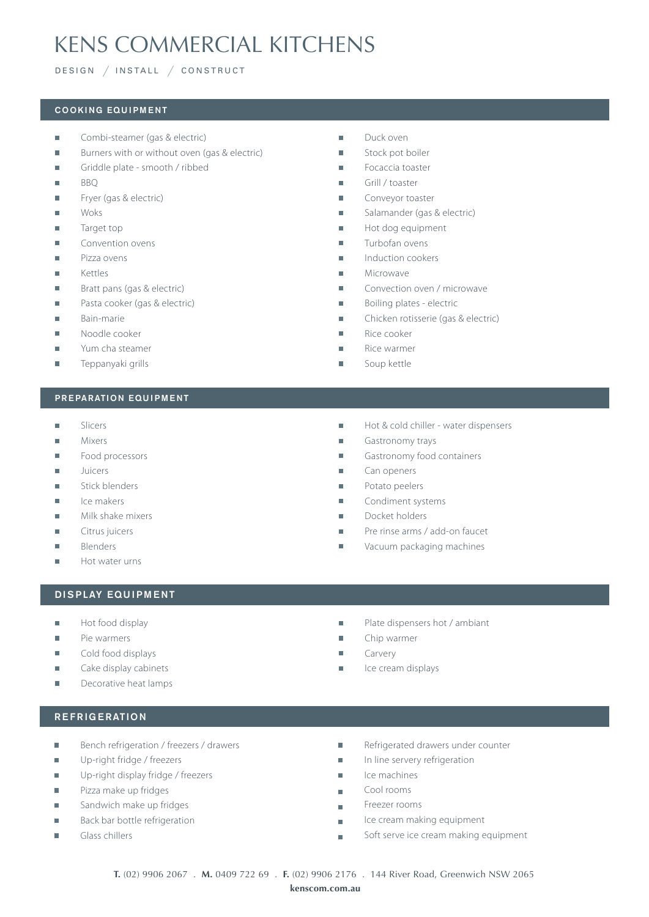# KENS COMMERCIAL KITCHENS

# DESIGN */* INSTALL */* CONSTRUCT

#### COOKING EQUIPMENT

- $\mathbf{r}$ Combi-steamer (gas & electric)
- $\overline{\phantom{a}}$ Burners with or without oven (gas & electric)
- Griddle plate smooth / ribbed  $\overline{\phantom{a}}$
- $\overline{\phantom{a}}$ BBQ
- Fryer (gas & electric)  $\overline{\phantom{a}}$
- Woks  $\overline{\phantom{a}}$
- $\overline{\phantom{a}}$ Target top
- Convention ovens  $\overline{\phantom{a}}$
- Pizza ovens  $\overline{\phantom{a}}$
- Kettles  $\overline{\phantom{a}}$
- $\overline{\mathbf{r}}$ Bratt pans (gas & electric)
- Pasta cooker (gas & electric)  $\overline{\mathbb{R}}$
- Bain-marie  $\blacksquare$
- H Noodle cooker
- Yum cha steamer Ē.
- Ē. Teppanyaki grills

#### PREPARATION EQUIPMENT

- $\overline{\phantom{a}}$ Slicers
- $\overline{\phantom{a}}$ Mixers
- Ē. Food processors
- Juicers Ì.
- $\blacksquare$ Stick blenders
- Ice makers  $\overline{\phantom{a}}$
- $\overline{\phantom{a}}$ Milk shake mixers
- Ē. Citrus juicers
- Blenders  $\blacksquare$
- Hot water urns  $\overline{\phantom{a}}$

# DISPLAY EQUIPMENT

- Hot food display  $\overline{\mathbf{r}}$
- $\overline{\phantom{a}}$ Pie warmers
- Cold food displays  $\overline{\mathbf{r}}$
- Cake display cabinets  $\overline{\phantom{a}}$
- $\overline{\mathbf{r}}$ Decorative heat lamps
- Ì. Duck oven
- Ì. Stock pot boiler
- Ì. Focaccia toaster
- $\overline{\phantom{a}}$ Grill / toaster
- Conveyor toaster Ī.
- Salamander (gas & electric) H
- Hot dog equipment  $\overline{\phantom{a}}$
- Turbofan ovens  $\overline{\phantom{a}}$
- $\overline{\phantom{a}}$ Induction cookers
- Microwave Ī.
- $\overline{\phantom{a}}$ Convection oven / microwave
- Ì. Boiling plates - electric
- Chicken rotisserie (gas & electric)  $\blacksquare$
- Ī. Rice cooker
- Rice warmer r.
- r. Soup kettle
- $\overline{\phantom{a}}$ Hot & cold chiller - water dispensers
- $\overline{\phantom{a}}$ Gastronomy trays
- T. Gastronomy food containers
- Can openers Ì.
- $\blacksquare$ Potato peelers
- Condiment systems r.
- H Docket holders
- Ī. Pre rinse arms / add-on faucet
- Vacuum packaging machines  $\overline{\phantom{a}}$
- Plate dispensers hot / ambiant T.
- Ī. Chip warmer
- $\overline{\phantom{a}}$ Carvery
- Ħ Ice cream displays

- REFRIGERATION
- Ī. Bench refrigeration / freezers / drawers
- Up-right fridge / freezers  $\overline{\phantom{a}}$
- $\overline{\phantom{a}}$ Up-right display fridge / freezers
- Pizza make up fridges  $\overline{\phantom{a}}$
- $\overline{\phantom{a}}$ Sandwich make up fridges
- Back bar bottle refrigeration  $\overline{\phantom{a}}$
- $\blacksquare$ Glass chillers
- Ē, Refrigerated drawers under counter
- In line servery refrigeration  $\overline{\mathbf{u}}$
- $\overline{\phantom{a}}$ Ice machines
- Cool rooms  $\blacksquare$
- Freezer rooms  $\overline{\phantom{a}}$
- Ice cream making equipment  $\overline{\phantom{a}}$
- Soft serve ice cream making equipment  $\overline{\mathbb{R}}$